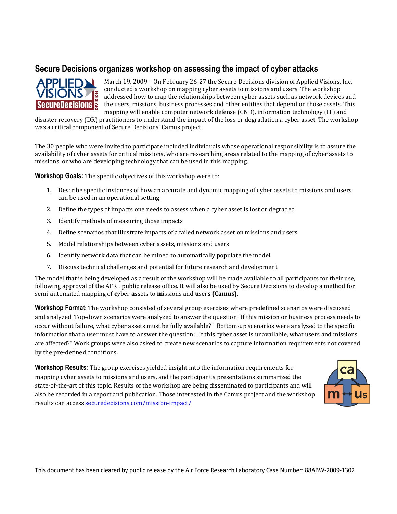## **Secure Decisions organizes workshop on assessing the impact of cyber attacks**



March 19, 2009 – On February 26-27 the Secure Decisions division of Applied Visions, Inc. conducted a workshop on mapping cyber assets to missions and users. The workshop addressed how to map the relationships between cyber assets such as network devices and the users, missions, business processes and other entities that depend on those assets. This mapping will enable computer network defense (CND), information technology (IT) and

disaster recovery (DR) practitioners to understand the impact of the loss or degradation a cyber asset. The workshop was a critical component of Secure Decisions' Camus project

The 30 people who were invited to participate included individuals whose operational responsibility is to assure the availability of cyber assets for critical missions, who are researching areas related to the mapping of cyber assets to missions, or who are developing technology that can be used in this mapping.

**Workshop Goals:** The specific objectives of this workshop were to:

- 1. Describe speci�ic instances of how an accurate and dynamic mapping of cyber assets to missions and users can be used in an operational setting
- 2. Define the types of impacts one needs to assess when a cyber asset is lost or degraded
- 3. Identify methods of measuring those impacts
- 4. Define scenarios that illustrate impacts of a failed network asset on missions and users
- 5. Model relationships between cyber assets, missions and users
- 6. Identify network data that can be mined to automatically populate the model
- 7. Discuss technical challenges and potential for future research and development

The model that is being developed as a result of the workshop will be made available to all participants for their use, following approval of the AFRL public release office. It will also be used by Secure Decisions to develop a method for semi-automated mapping of **c**yber **a**ssets to **m**issions and **u**ser**s (Camus)**.

**Workshop Format**: The workshop consisted of several group exercises where predefined scenarios were discussed and analyzed. Top-down scenarios were analyzed to answer the question "If this mission or business process needs to occur without failure, what cyber assets must be fully available?" Bottom-up scenarios were analyzed to the specific information that a user must have to answer the question: "If this cyber asset is unavailable, what users and missions are affected?" Work groups were also asked to create new scenarios to capture information requirements not covered by the pre-defined conditions.

**Workshop Results:** The group exercises yielded insight into the information requirements for mapping cyber assets to missions and users, and the participant's presentations summarized the state-of-the-art of this topic. Results of the workshop are being disseminated to participants and will also be recorded in a report and publication. Those interested in the Camus project and the workshop results can access securedecisions.com/mission-impact/